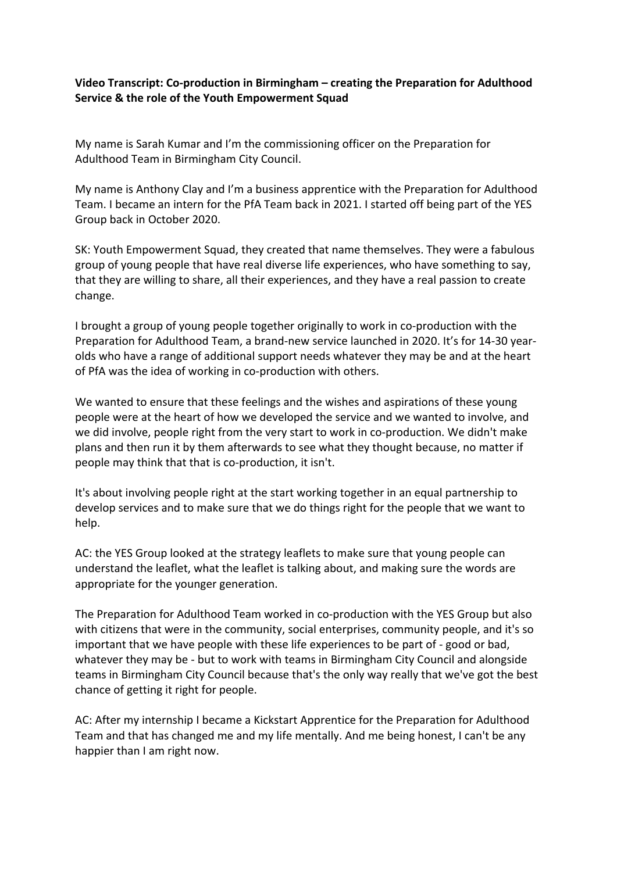## **Video Transcript: Co-production in Birmingham – creating the Preparation for Adulthood Service & the role of the Youth Empowerment Squad**

My name is Sarah Kumar and I'm the commissioning officer on the Preparation for Adulthood Team in Birmingham City Council.

My name is Anthony Clay and I'm a business apprentice with the Preparation for Adulthood Team. I became an intern for the PfA Team back in 2021. I started off being part of the YES Group back in October 2020.

SK: Youth Empowerment Squad, they created that name themselves. They were a fabulous group of young people that have real diverse life experiences, who have something to say, that they are willing to share, all their experiences, and they have a real passion to create change.

I brought a group of young people together originally to work in co-production with the Preparation for Adulthood Team, a brand-new service launched in 2020. It's for 14-30 yearolds who have a range of additional support needs whatever they may be and at the heart of PfA was the idea of working in co-production with others.

We wanted to ensure that these feelings and the wishes and aspirations of these young people were at the heart of how we developed the service and we wanted to involve, and we did involve, people right from the very start to work in co-production. We didn't make plans and then run it by them afterwards to see what they thought because, no matter if people may think that that is co-production, it isn't.

It's about involving people right at the start working together in an equal partnership to develop services and to make sure that we do things right for the people that we want to help.

AC: the YES Group looked at the strategy leaflets to make sure that young people can understand the leaflet, what the leaflet is talking about, and making sure the words are appropriate for the younger generation.

The Preparation for Adulthood Team worked in co-production with the YES Group but also with citizens that were in the community, social enterprises, community people, and it's so important that we have people with these life experiences to be part of - good or bad, whatever they may be - but to work with teams in Birmingham City Council and alongside teams in Birmingham City Council because that's the only way really that we've got the best chance of getting it right for people.

AC: After my internship I became a Kickstart Apprentice for the Preparation for Adulthood Team and that has changed me and my life mentally. And me being honest, I can't be any happier than I am right now.